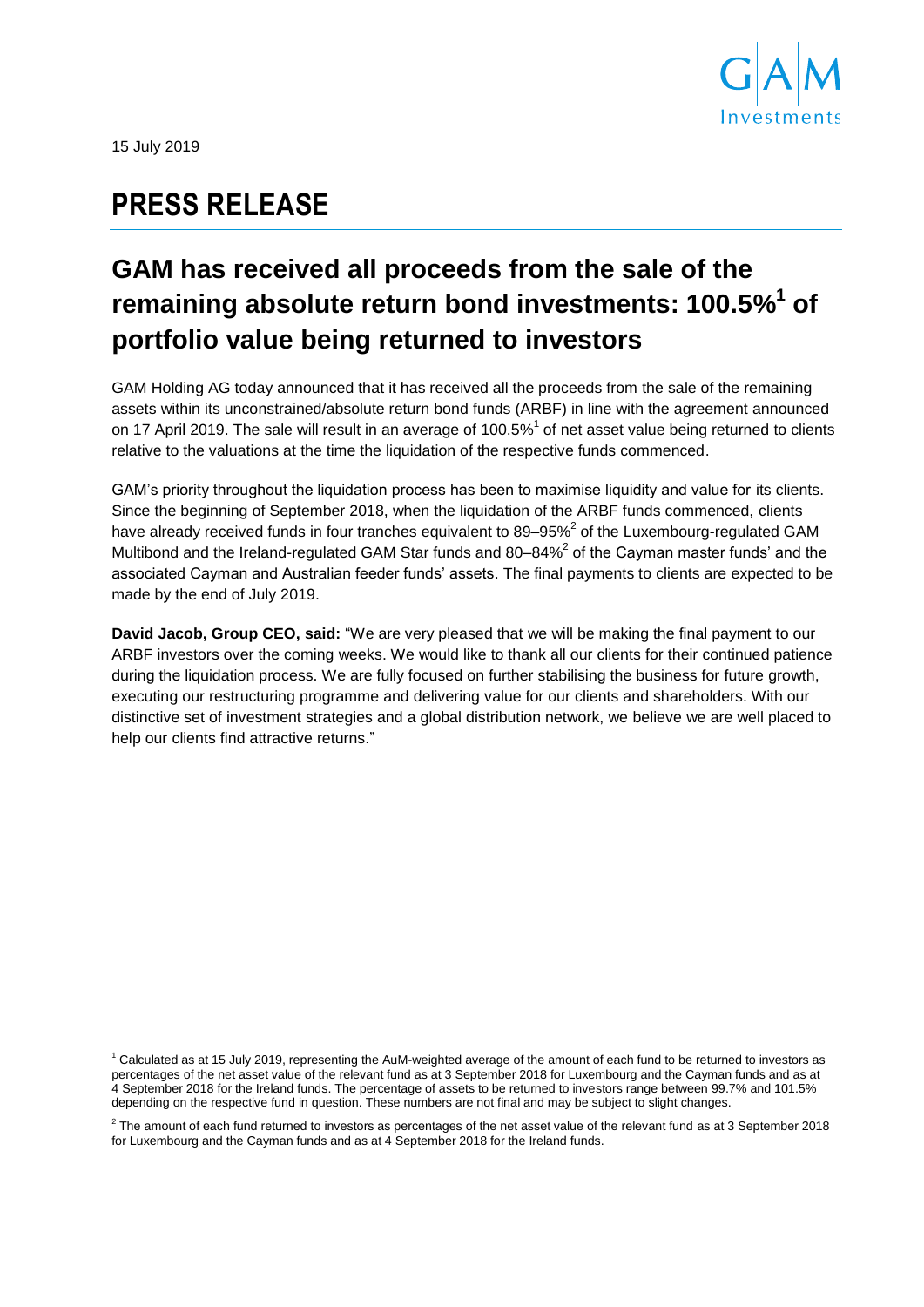

15 July 2019

# **PRESS RELEASE**

# **GAM has received all proceeds from the sale of the remaining absolute return bond investments: 100.5% 1 of portfolio value being returned to investors**

GAM Holding AG today announced that it has received all the proceeds from the sale of the remaining assets within its unconstrained/absolute return bond funds (ARBF) in line with the agreement announced on 17 April 2019. The sale will result in an average of 100.5%<sup>1</sup> of net asset value being returned to clients relative to the valuations at the time the liquidation of the respective funds commenced.

GAM's priority throughout the liquidation process has been to maximise liquidity and value for its clients. Since the beginning of September 2018, when the liquidation of the ARBF funds commenced, clients have already received funds in four tranches equivalent to 89–95%<sup>2</sup> of the Luxembourg-regulated GAM Multibond and the Ireland-regulated GAM Star funds and 80–84% $^2$  of the Cayman master funds' and the associated Cayman and Australian feeder funds' assets. The final payments to clients are expected to be made by the end of July 2019.

**David Jacob, Group CEO, said:** "We are very pleased that we will be making the final payment to our ARBF investors over the coming weeks. We would like to thank all our clients for their continued patience during the liquidation process. We are fully focused on further stabilising the business for future growth, executing our restructuring programme and delivering value for our clients and shareholders. With our distinctive set of investment strategies and a global distribution network, we believe we are well placed to help our clients find attractive returns."

<sup>1</sup> Calculated as at 15 July 2019, representing the AuM-weighted average of the amount of each fund to be returned to investors as percentages of the net asset value of the relevant fund as at 3 September 2018 for Luxembourg and the Cayman funds and as at 4 September 2018 for the Ireland funds. The percentage of assets to be returned to investors range between 99.7% and 101.5% depending on the respective fund in question. These numbers are not final and may be subject to slight changes.

 $^2$  The amount of each fund returned to investors as percentages of the net asset value of the relevant fund as at 3 September 2018 for Luxembourg and the Cayman funds and as at 4 September 2018 for the Ireland funds.